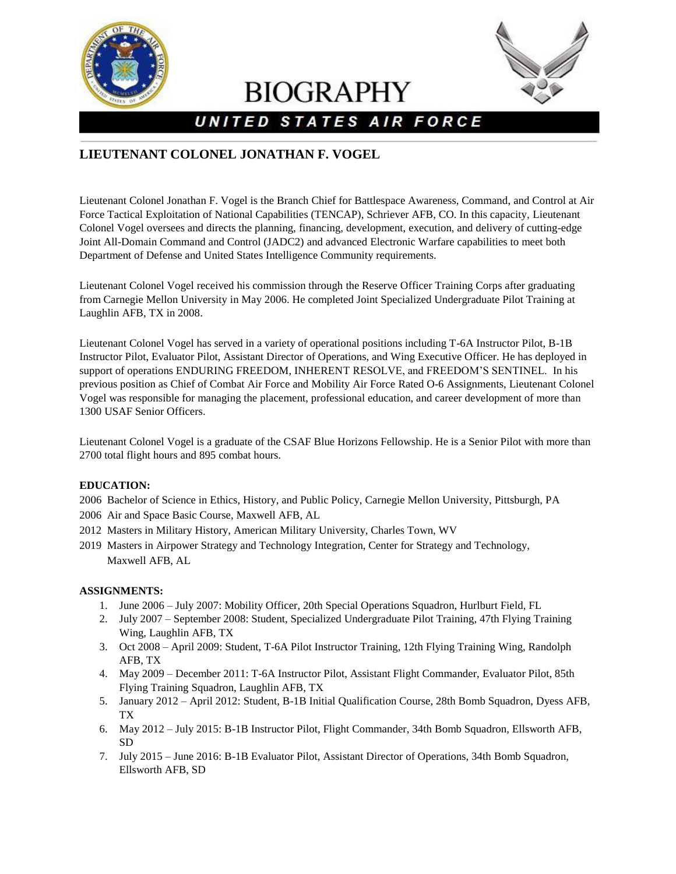

**BIOGRAPHY** 



# UNITED STATES AIR FORCE

# **LIEUTENANT COLONEL JONATHAN F. VOGEL**

Lieutenant Colonel Jonathan F. Vogel is the Branch Chief for Battlespace Awareness, Command, and Control at Air Force Tactical Exploitation of National Capabilities (TENCAP), Schriever AFB, CO. In this capacity, Lieutenant Colonel Vogel oversees and directs the planning, financing, development, execution, and delivery of cutting-edge Joint All-Domain Command and Control (JADC2) and advanced Electronic Warfare capabilities to meet both Department of Defense and United States Intelligence Community requirements.

Lieutenant Colonel Vogel received his commission through the Reserve Officer Training Corps after graduating from Carnegie Mellon University in May 2006. He completed Joint Specialized Undergraduate Pilot Training at Laughlin AFB, TX in 2008.

Lieutenant Colonel Vogel has served in a variety of operational positions including T-6A Instructor Pilot, B-1B Instructor Pilot, Evaluator Pilot, Assistant Director of Operations, and Wing Executive Officer. He has deployed in support of operations ENDURING FREEDOM, INHERENT RESOLVE, and FREEDOM'S SENTINEL. In his previous position as Chief of Combat Air Force and Mobility Air Force Rated O-6 Assignments, Lieutenant Colonel Vogel was responsible for managing the placement, professional education, and career development of more than 1300 USAF Senior Officers.

Lieutenant Colonel Vogel is a graduate of the CSAF Blue Horizons Fellowship. He is a Senior Pilot with more than 2700 total flight hours and 895 combat hours.

# **EDUCATION:**

2006 Bachelor of Science in Ethics, History, and Public Policy, Carnegie Mellon University, Pittsburgh, PA 2006 Air and Space Basic Course, Maxwell AFB, AL

- 2012 Masters in Military History, American Military University, Charles Town, WV
- 2019 Masters in Airpower Strategy and Technology Integration, Center for Strategy and Technology, Maxwell AFB, AL

#### **ASSIGNMENTS:**

- 1. June 2006 July 2007: Mobility Officer, 20th Special Operations Squadron, Hurlburt Field, FL
- 2. July 2007 September 2008: Student, Specialized Undergraduate Pilot Training, 47th Flying Training Wing, Laughlin AFB, TX
- 3. Oct 2008 April 2009: Student, T-6A Pilot Instructor Training, 12th Flying Training Wing, Randolph AFB, TX
- 4. May 2009 December 2011: T-6A Instructor Pilot, Assistant Flight Commander, Evaluator Pilot, 85th Flying Training Squadron, Laughlin AFB, TX
- 5. January 2012 April 2012: Student, B-1B Initial Qualification Course, 28th Bomb Squadron, Dyess AFB, TX
- 6. May 2012 July 2015: B-1B Instructor Pilot, Flight Commander, 34th Bomb Squadron, Ellsworth AFB, SD
- 7. July 2015 June 2016: B-1B Evaluator Pilot, Assistant Director of Operations, 34th Bomb Squadron, Ellsworth AFB, SD